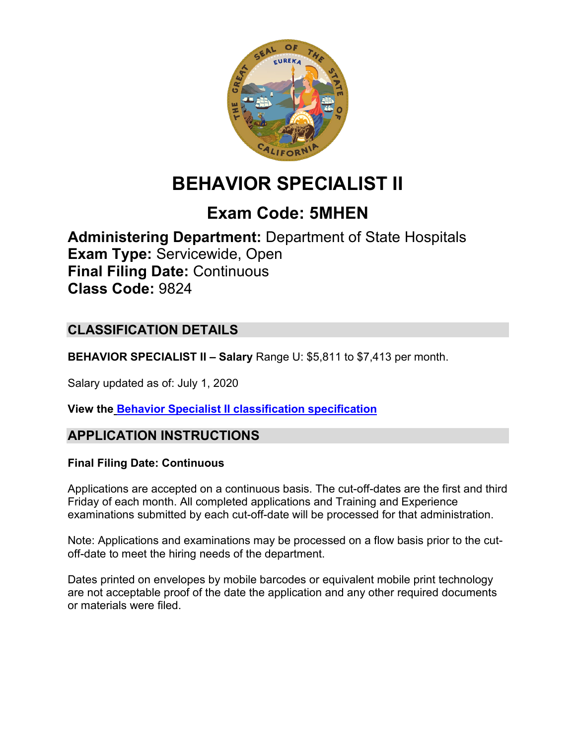

# **BEHAVIOR SPECIALIST II**

## **Exam Code: 5MHEN**

**Administering Department:** Department of State Hospitals **Exam Type:** Servicewide, Open **Final Filing Date:** Continuous **Class Code:** 9824

## **CLASSIFICATION DETAILS**

**BEHAVIOR SPECIALIST II – Salary** Range U: \$5,811 to \$7,413 per month.

Salary updated as of: July 1, 2020

**View the Behavior Specialist II [classification specification](https://www.calhr.ca.gov/state-hr-professionals/pages/9823.aspx)**

#### **APPLICATION INSTRUCTIONS**

#### **Final Filing Date: Continuous**

Applications are accepted on a continuous basis. The cut-off-dates are the first and third Friday of each month. All completed applications and Training and Experience examinations submitted by each cut-off-date will be processed for that administration.

Note: Applications and examinations may be processed on a flow basis prior to the cutoff-date to meet the hiring needs of the department.

Dates printed on envelopes by mobile barcodes or equivalent mobile print technology are not acceptable proof of the date the application and any other required documents or materials were filed.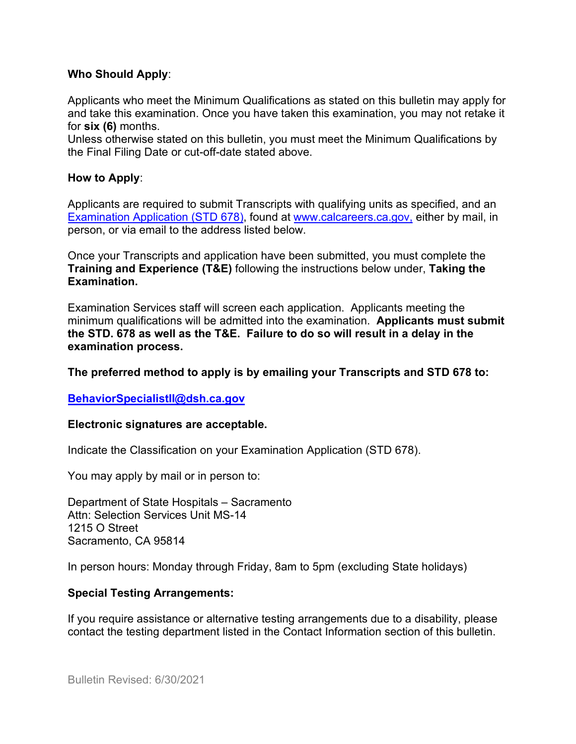#### **Who Should Apply**:

Applicants who meet the Minimum Qualifications as stated on this bulletin may apply for and take this examination. Once you have taken this examination, you may not retake it for **six (6)** months.

Unless otherwise stated on this bulletin, you must meet the Minimum Qualifications by the Final Filing Date or cut-off-date stated above.

#### **How to Apply**:

Applicants are required to submit Transcripts with qualifying units as specified, and an [Examination Application \(STD 678\),](https://jobs.ca.gov/pdf/std678.pdf) found at [www.calcareers.ca.gov,](http://www.calcareers.ca.gov/) either by mail, in person, or via email to the address listed below.

Once your Transcripts and application have been submitted, you must complete the **Training and Experience (T&E)** following the instructions below under, **Taking the Examination.**

Examination Services staff will screen each application. Applicants meeting the minimum qualifications will be admitted into the examination. **Applicants must submit the STD. 678 as well as the T&E. Failure to do so will result in a delay in the examination process.**

**The preferred method to apply is by emailing your Transcripts and STD 678 to:**

**[BehaviorSpecialistII@dsh.ca.gov](mailto:BehaviorSpecialistII@dsh.ca.gov)** 

#### **Electronic signatures are acceptable.**

Indicate the Classification on your Examination Application (STD 678).

You may apply by mail or in person to:

Department of State Hospitals – Sacramento Attn: Selection Services Unit MS-14 1215 O Street Sacramento, CA 95814

In person hours: Monday through Friday, 8am to 5pm (excluding State holidays)

#### **Special Testing Arrangements:**

If you require assistance or alternative testing arrangements due to a disability, please contact the testing department listed in the Contact Information section of this bulletin.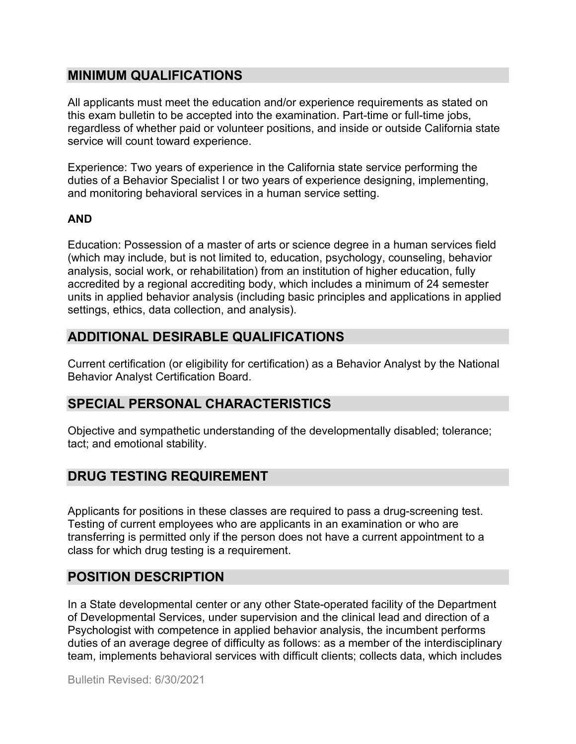#### **MINIMUM QUALIFICATIONS**

All applicants must meet the education and/or experience requirements as stated on this exam bulletin to be accepted into the examination. Part-time or full-time jobs, regardless of whether paid or volunteer positions, and inside or outside California state service will count toward experience.

Experience: Two years of experience in the California state service performing the duties of a Behavior Specialist I or two years of experience designing, implementing, and monitoring behavioral services in a human service setting.

#### **AND**

Education: Possession of a master of arts or science degree in a human services field (which may include, but is not limited to, education, psychology, counseling, behavior analysis, social work, or rehabilitation) from an institution of higher education, fully accredited by a regional accrediting body, which includes a minimum of 24 semester units in applied behavior analysis (including basic principles and applications in applied settings, ethics, data collection, and analysis).

## **ADDITIONAL DESIRABLE QUALIFICATIONS**

Current certification (or eligibility for certification) as a Behavior Analyst by the National Behavior Analyst Certification Board.

## **SPECIAL PERSONAL CHARACTERISTICS**

Objective and sympathetic understanding of the developmentally disabled; tolerance; tact; and emotional stability.

## **DRUG TESTING REQUIREMENT**

Applicants for positions in these classes are required to pass a drug-screening test. Testing of current employees who are applicants in an examination or who are transferring is permitted only if the person does not have a current appointment to a class for which drug testing is a requirement.

## **POSITION DESCRIPTION**

In a State developmental center or any other State-operated facility of the Department of Developmental Services, under supervision and the clinical lead and direction of a Psychologist with competence in applied behavior analysis, the incumbent performs duties of an average degree of difficulty as follows: as a member of the interdisciplinary team, implements behavioral services with difficult clients; collects data, which includes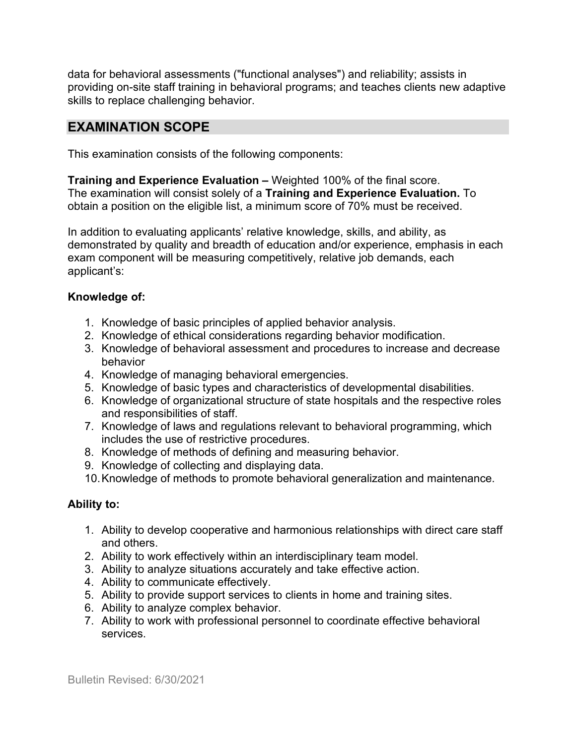data for behavioral assessments ("functional analyses") and reliability; assists in providing on-site staff training in behavioral programs; and teaches clients new adaptive skills to replace challenging behavior.

#### **EXAMINATION SCOPE**

This examination consists of the following components:

**Training and Experience Evaluation –** Weighted 100% of the final score. The examination will consist solely of a **Training and Experience Evaluation.** To obtain a position on the eligible list, a minimum score of 70% must be received.

In addition to evaluating applicants' relative knowledge, skills, and ability, as demonstrated by quality and breadth of education and/or experience, emphasis in each exam component will be measuring competitively, relative job demands, each applicant's:

#### **Knowledge of:**

- 1. Knowledge of basic principles of applied behavior analysis.
- 2. Knowledge of ethical considerations regarding behavior modification.
- 3. Knowledge of behavioral assessment and procedures to increase and decrease behavior
- 4. Knowledge of managing behavioral emergencies.
- 5. Knowledge of basic types and characteristics of developmental disabilities.
- 6. Knowledge of organizational structure of state hospitals and the respective roles and responsibilities of staff.
- 7. Knowledge of laws and regulations relevant to behavioral programming, which includes the use of restrictive procedures.
- 8. Knowledge of methods of defining and measuring behavior.
- 9. Knowledge of collecting and displaying data.
- 10.Knowledge of methods to promote behavioral generalization and maintenance.

#### **Ability to:**

- 1. Ability to develop cooperative and harmonious relationships with direct care staff and others.
- 2. Ability to work effectively within an interdisciplinary team model.
- 3. Ability to analyze situations accurately and take effective action.
- 4. Ability to communicate effectively.
- 5. Ability to provide support services to clients in home and training sites.
- 6. Ability to analyze complex behavior.
- 7. Ability to work with professional personnel to coordinate effective behavioral services.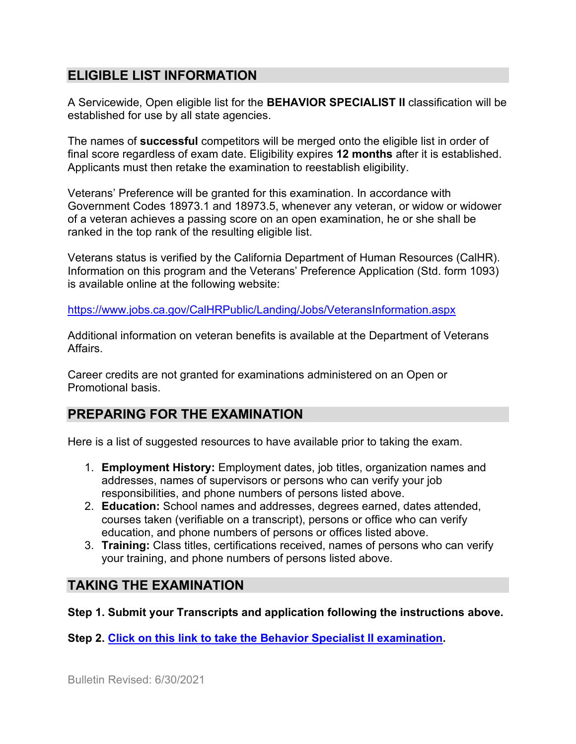## **ELIGIBLE LIST INFORMATION**

A Servicewide, Open eligible list for the **BEHAVIOR SPECIALIST II** classification will be established for use by all state agencies.

The names of **successful** competitors will be merged onto the eligible list in order of final score regardless of exam date. Eligibility expires **12 months** after it is established. Applicants must then retake the examination to reestablish eligibility.

Veterans' Preference will be granted for this examination. In accordance with Government Codes 18973.1 and 18973.5, whenever any veteran, or widow or widower of a veteran achieves a passing score on an open examination, he or she shall be ranked in the top rank of the resulting eligible list.

Veterans status is verified by the California Department of Human Resources (CalHR). Information on this program and the Veterans' Preference Application (Std. form 1093) is available online at the following website:

<https://www.jobs.ca.gov/CalHRPublic/Landing/Jobs/VeteransInformation.aspx>

Additional information on veteran benefits is available at the Department of Veterans Affairs.

Career credits are not granted for examinations administered on an Open or Promotional basis.

## **PREPARING FOR THE EXAMINATION**

Here is a list of suggested resources to have available prior to taking the exam.

- 1. **Employment History:** Employment dates, job titles, organization names and addresses, names of supervisors or persons who can verify your job responsibilities, and phone numbers of persons listed above.
- 2. **Education:** School names and addresses, degrees earned, dates attended, courses taken (verifiable on a transcript), persons or office who can verify education, and phone numbers of persons or offices listed above.
- 3. **Training:** Class titles, certifications received, names of persons who can verify your training, and phone numbers of persons listed above.

## **TAKING THE EXAMINATION**

**Step 1. Submit your Transcripts and application following the instructions above.**

**Step 2. [Click on this link to take the Behavior Specialist II](https://www.surveymonkey.com/r/ZTDMW7D) examination.**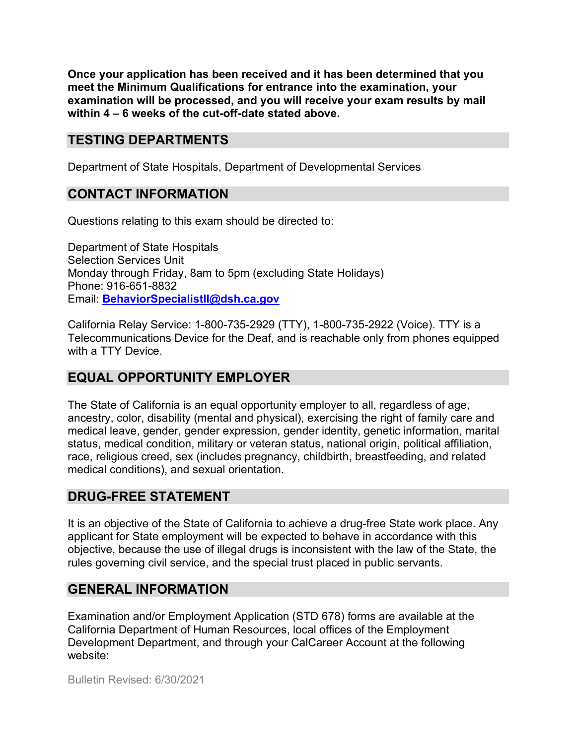**Once your application has been received and it has been determined that you meet the Minimum Qualifications for entrance into the examination, your examination will be processed, and you will receive your exam results by mail within 4 – 6 weeks of the cut-off-date stated above.**

#### **TESTING DEPARTMENTS**

Department of State Hospitals, Department of Developmental Services

## **CONTACT INFORMATION**

Questions relating to this exam should be directed to:

Department of State Hospitals Selection Services Unit Monday through Friday, 8am to 5pm (excluding State Holidays) Phone: 916-651-8832 Email: **[BehaviorSpecialistII@dsh.ca.gov](mailto:BehaviorSpecialistII@dsh.ca.gov)**

California Relay Service: 1-800-735-2929 (TTY), 1-800-735-2922 (Voice). TTY is a Telecommunications Device for the Deaf, and is reachable only from phones equipped with a TTY Device.

#### **EQUAL OPPORTUNITY EMPLOYER**

The State of California is an equal opportunity employer to all, regardless of age, ancestry, color, disability (mental and physical), exercising the right of family care and medical leave, gender, gender expression, gender identity, genetic information, marital status, medical condition, military or veteran status, national origin, political affiliation, race, religious creed, sex (includes pregnancy, childbirth, breastfeeding, and related medical conditions), and sexual orientation.

## **DRUG-FREE STATEMENT**

It is an objective of the State of California to achieve a drug-free State work place. Any applicant for State employment will be expected to behave in accordance with this objective, because the use of illegal drugs is inconsistent with the law of the State, the rules governing civil service, and the special trust placed in public servants.

## **GENERAL INFORMATION**

Examination and/or Employment Application (STD 678) forms are available at the California Department of Human Resources, local offices of the Employment Development Department, and through your CalCareer Account at the following website: